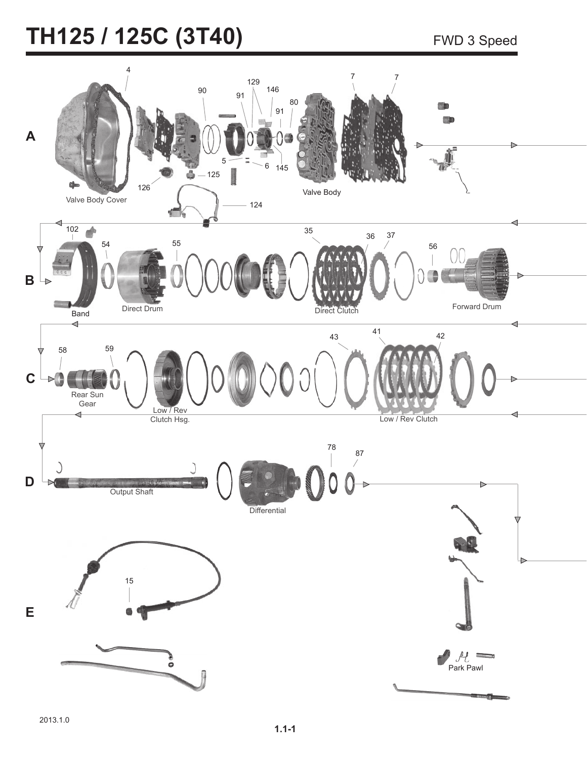# TH125 / 125C (3T40) FWD 3 Speed

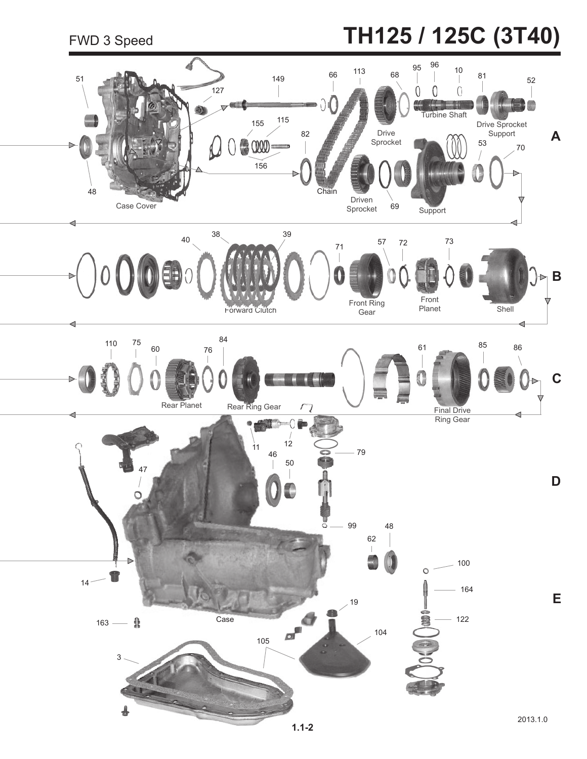# FWD 3 Speed **TH125 / 125C (3T40)**

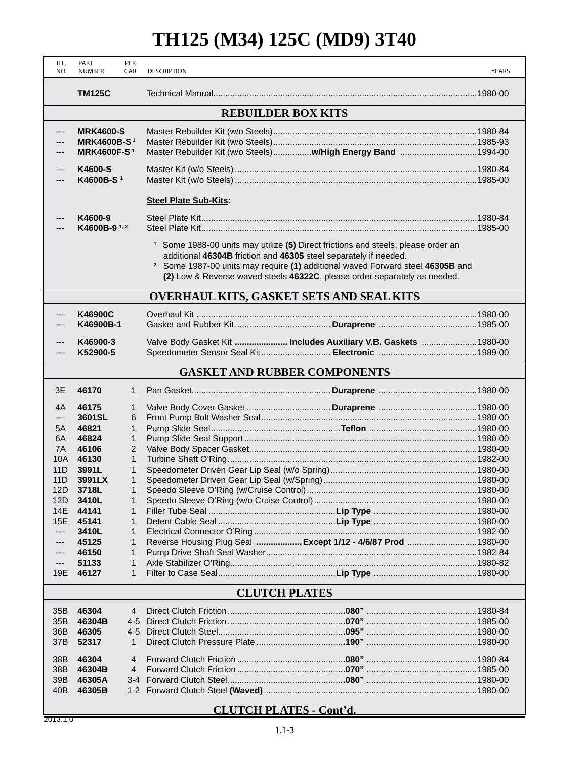### **TH125 (M34) 125C (MD9) 3T40**

| ILL.<br>NO.                         | PART<br><b>NUMBER</b>     | PER<br>CAR        | <b>DESCRIPTION</b>                                                                                                                                                                                                                                                                                                                         |                                                                | YEARS |  |  |
|-------------------------------------|---------------------------|-------------------|--------------------------------------------------------------------------------------------------------------------------------------------------------------------------------------------------------------------------------------------------------------------------------------------------------------------------------------------|----------------------------------------------------------------|-------|--|--|
|                                     | <b>TM125C</b>             |                   |                                                                                                                                                                                                                                                                                                                                            |                                                                |       |  |  |
|                                     | <b>REBUILDER BOX KITS</b> |                   |                                                                                                                                                                                                                                                                                                                                            |                                                                |       |  |  |
| ---                                 | <b>MRK4600-S</b>          |                   |                                                                                                                                                                                                                                                                                                                                            |                                                                |       |  |  |
|                                     | <b>MRK4600B-S1</b>        |                   |                                                                                                                                                                                                                                                                                                                                            |                                                                |       |  |  |
|                                     | <b>MRK4600F-S1</b>        |                   |                                                                                                                                                                                                                                                                                                                                            | Master Rebuilder Kit (w/o Steels) w/High Energy Band 1994-00   |       |  |  |
| ---                                 | K4600-S                   |                   |                                                                                                                                                                                                                                                                                                                                            |                                                                |       |  |  |
| ---                                 | K4600B-S <sup>1</sup>     |                   |                                                                                                                                                                                                                                                                                                                                            |                                                                |       |  |  |
|                                     |                           |                   | <b>Steel Plate Sub-Kits:</b>                                                                                                                                                                                                                                                                                                               |                                                                |       |  |  |
| ---                                 | K4600-9                   |                   |                                                                                                                                                                                                                                                                                                                                            |                                                                |       |  |  |
| $---$                               | K4600B-9 <sup>1,2</sup>   |                   |                                                                                                                                                                                                                                                                                                                                            |                                                                |       |  |  |
|                                     |                           |                   | <sup>1</sup> Some 1988-00 units may utilize (5) Direct frictions and steels, please order an<br>additional 46304B friction and 46305 steel separately if needed.<br><sup>2</sup> Some 1987-00 units may require (1) additional waved Forward steel 46305B and<br>(2) Low & Reverse waved steels 46322C, please order separately as needed. |                                                                |       |  |  |
|                                     |                           |                   |                                                                                                                                                                                                                                                                                                                                            | <b>OVERHAUL KITS, GASKET SETS AND SEAL KITS</b>                |       |  |  |
| ---                                 | K46900C                   |                   |                                                                                                                                                                                                                                                                                                                                            |                                                                |       |  |  |
|                                     | K46900B-1                 |                   |                                                                                                                                                                                                                                                                                                                                            |                                                                |       |  |  |
|                                     | K46900-3                  |                   |                                                                                                                                                                                                                                                                                                                                            | Valve Body Gasket Kit  Includes Auxiliary V.B. Gaskets 1980-00 |       |  |  |
| ---<br>---                          | K52900-5                  |                   |                                                                                                                                                                                                                                                                                                                                            |                                                                |       |  |  |
|                                     |                           |                   |                                                                                                                                                                                                                                                                                                                                            |                                                                |       |  |  |
| <b>GASKET AND RUBBER COMPONENTS</b> |                           |                   |                                                                                                                                                                                                                                                                                                                                            |                                                                |       |  |  |
| 3E                                  | 46170                     | $\mathbf{1}$      |                                                                                                                                                                                                                                                                                                                                            |                                                                |       |  |  |
| 4A                                  | 46175                     | 1                 |                                                                                                                                                                                                                                                                                                                                            |                                                                |       |  |  |
| ---                                 | 3601SL                    | 6                 |                                                                                                                                                                                                                                                                                                                                            |                                                                |       |  |  |
| 5A                                  | 46821                     | 1                 |                                                                                                                                                                                                                                                                                                                                            |                                                                |       |  |  |
| 6A                                  | 46824                     | $\mathbf{1}$      |                                                                                                                                                                                                                                                                                                                                            |                                                                |       |  |  |
| 7A                                  | 46106                     | 2                 |                                                                                                                                                                                                                                                                                                                                            |                                                                |       |  |  |
| 10A                                 | 46130                     | 1                 |                                                                                                                                                                                                                                                                                                                                            |                                                                |       |  |  |
| 11D<br>11D                          | 3991L<br>3991LX           | 1<br>$\mathbf{1}$ |                                                                                                                                                                                                                                                                                                                                            |                                                                |       |  |  |
| 12D                                 | 3718L                     | 1                 |                                                                                                                                                                                                                                                                                                                                            |                                                                |       |  |  |
| 12D                                 | 3410L                     | 1                 |                                                                                                                                                                                                                                                                                                                                            |                                                                |       |  |  |
| 14E                                 | 44141                     | 1                 |                                                                                                                                                                                                                                                                                                                                            |                                                                |       |  |  |
| 15E                                 | 45141                     | 1                 |                                                                                                                                                                                                                                                                                                                                            |                                                                |       |  |  |
| $---$                               | 3410L                     | 1                 |                                                                                                                                                                                                                                                                                                                                            |                                                                |       |  |  |
| ---                                 | 45125                     | 1                 |                                                                                                                                                                                                                                                                                                                                            | Reverse Housing Plug Seal  Except 1/12 - 4/6/87 Prod 1980-00   |       |  |  |
| ---                                 | 46150                     | $\mathbf 1$       |                                                                                                                                                                                                                                                                                                                                            |                                                                |       |  |  |
| ---                                 | 51133                     | 1                 |                                                                                                                                                                                                                                                                                                                                            |                                                                |       |  |  |
| 19E                                 | 46127                     | 1                 |                                                                                                                                                                                                                                                                                                                                            |                                                                |       |  |  |
|                                     | <b>CLUTCH PLATES</b>      |                   |                                                                                                                                                                                                                                                                                                                                            |                                                                |       |  |  |
| 35B                                 | 46304                     | 4                 |                                                                                                                                                                                                                                                                                                                                            |                                                                |       |  |  |
| 35B                                 | 46304B                    | $4 - 5$           |                                                                                                                                                                                                                                                                                                                                            |                                                                |       |  |  |
| 36B                                 | 46305                     | $4 - 5$           |                                                                                                                                                                                                                                                                                                                                            |                                                                |       |  |  |
| 37B                                 | 52317                     | 1                 |                                                                                                                                                                                                                                                                                                                                            |                                                                |       |  |  |
| 38B                                 | 46304                     | 4                 |                                                                                                                                                                                                                                                                                                                                            |                                                                |       |  |  |
| 38B                                 | 46304B                    | 4                 |                                                                                                                                                                                                                                                                                                                                            |                                                                |       |  |  |
| 39B                                 | 46305A                    | $3 - 4$           |                                                                                                                                                                                                                                                                                                                                            |                                                                |       |  |  |
| 40 <sub>B</sub>                     | 46305B                    | $1 - 2$           |                                                                                                                                                                                                                                                                                                                                            |                                                                |       |  |  |
| <b>CLUTCH PLATES - Cont'd.</b>      |                           |                   |                                                                                                                                                                                                                                                                                                                                            |                                                                |       |  |  |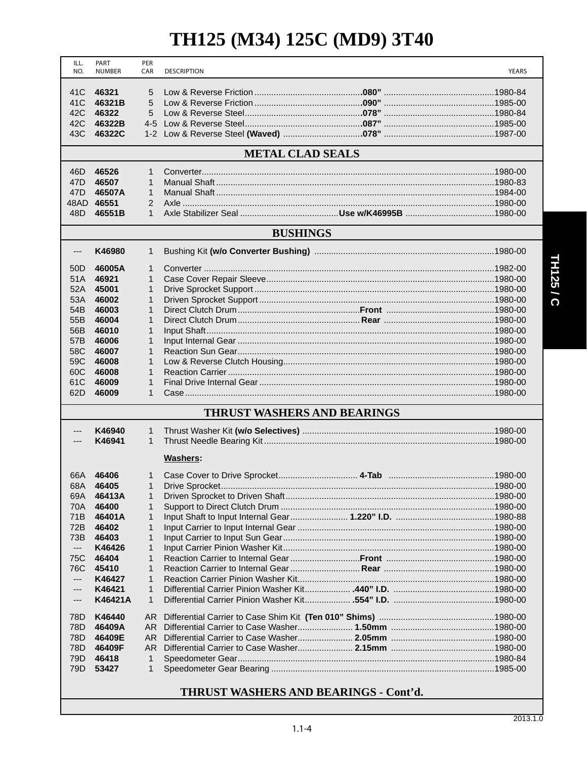### **TH125 (M34) 125C (MD9) 3T40**

| ILL.<br>NO.     | PART<br><b>NUMBER</b>   | PER<br>CAR                   | <b>DESCRIPTION</b>                 |  | <b>YEARS</b> |  |  |
|-----------------|-------------------------|------------------------------|------------------------------------|--|--------------|--|--|
|                 |                         |                              |                                    |  |              |  |  |
| 41C             | 46321                   | 5                            |                                    |  |              |  |  |
| 41 <sub>C</sub> | 46321B                  | 5                            |                                    |  |              |  |  |
| 42C             | 46322                   | 5                            |                                    |  |              |  |  |
| 42C             | 46322B                  | $4 - 5$                      |                                    |  |              |  |  |
| 43C             | 46322C                  |                              |                                    |  |              |  |  |
|                 | <b>METAL CLAD SEALS</b> |                              |                                    |  |              |  |  |
| 46D             | 46526                   | 1                            |                                    |  |              |  |  |
| 47D             | 46507                   | $\mathbf{1}$                 |                                    |  |              |  |  |
| 47 <sub>D</sub> | 46507A                  | $\mathbf{1}$                 |                                    |  |              |  |  |
|                 | 48AD 46551              | 2                            |                                    |  |              |  |  |
| 48D             | 46551B                  | $\mathbf{1}$                 |                                    |  |              |  |  |
|                 |                         |                              | <b>BUSHINGS</b>                    |  |              |  |  |
| ---             | K46980                  | 1                            |                                    |  |              |  |  |
| 50D             | 46005A                  | $\mathbf{1}$                 |                                    |  |              |  |  |
| 51A             | 46921                   | $\mathbf{1}$                 |                                    |  |              |  |  |
| 52A             | 45001                   | 1                            |                                    |  |              |  |  |
| 53A             | 46002                   | 1                            |                                    |  |              |  |  |
| 54B             | 46003                   | $\mathbf{1}$                 |                                    |  |              |  |  |
| 55B             | 46004                   | $\mathbf{1}$                 |                                    |  |              |  |  |
| 56B             | 46010                   | $\mathbf{1}$                 |                                    |  |              |  |  |
| 57B             | 46006                   | 1                            |                                    |  |              |  |  |
| 58C             | 46007                   | $\mathbf{1}$                 |                                    |  |              |  |  |
| 59C             | 46008                   | $\mathbf{1}$<br>$\mathbf{1}$ |                                    |  |              |  |  |
| 60C<br>61C      | 46008<br>46009          | 1                            |                                    |  |              |  |  |
| 62D             | 46009                   | 1                            |                                    |  |              |  |  |
|                 |                         |                              | <b>THRUST WASHERS AND BEARINGS</b> |  |              |  |  |
|                 |                         |                              |                                    |  |              |  |  |
| ---             | K46940                  | 1                            |                                    |  |              |  |  |
| ---             | K46941                  | $\mathbf{1}$                 |                                    |  |              |  |  |
|                 |                         |                              | Washers:                           |  |              |  |  |
| 66A             | 46406                   | 1                            |                                    |  |              |  |  |
| 68A             | 46405                   | $\mathbf{1}$                 |                                    |  |              |  |  |
| 69A             | 46413A                  | 1                            |                                    |  |              |  |  |
| 70A             | 46400                   | 1                            |                                    |  |              |  |  |
| 71B             | 46401A                  | 1                            |                                    |  |              |  |  |
| 72B             | 46402                   | $\mathbf{1}$                 |                                    |  |              |  |  |
| 73B<br>---      | 46403<br>K46426         | 1<br>1                       |                                    |  |              |  |  |
| 75C             | 46404                   | 1                            |                                    |  |              |  |  |
| 76C             | 45410                   | 1                            |                                    |  |              |  |  |
| ---             | K46427                  | 1                            |                                    |  |              |  |  |
| ---             | K46421                  | 1                            |                                    |  |              |  |  |
| ---             | K46421A                 | $\mathbf{1}$                 |                                    |  |              |  |  |
| 78D             | K46440                  | AR.                          |                                    |  |              |  |  |
| 78D             | 46409A                  | AR.                          |                                    |  |              |  |  |
| 78D             | 46409E                  | AR.                          |                                    |  |              |  |  |
| 78D             | 46409F                  | AR.                          |                                    |  |              |  |  |
| 79D             | 46418                   | 1                            |                                    |  |              |  |  |
| 79D             | 53427                   | 1                            |                                    |  |              |  |  |
|                 |                         |                              |                                    |  |              |  |  |

### **THRUST WASHERS AND BEARINGS - Cont'd.**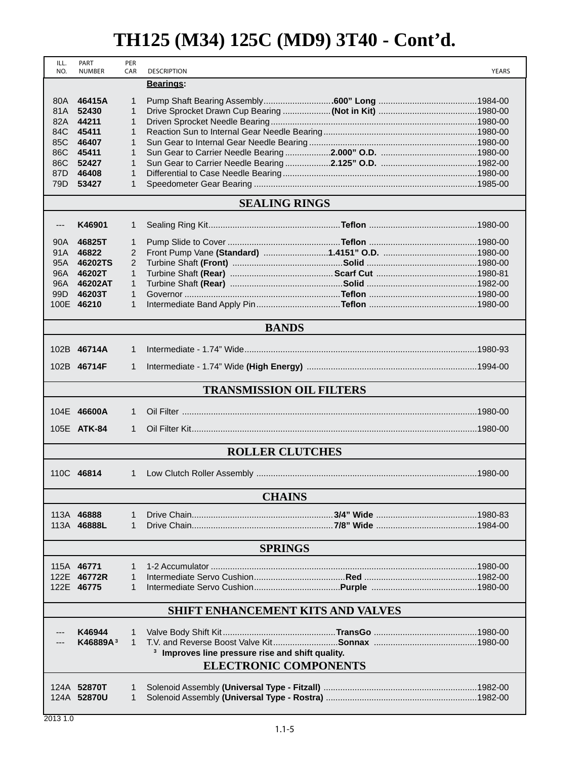### **TH125 (M34) 125C (MD9) 3T40 - Cont'd.**

| ILL.<br>NO.                     | PART<br><b>NUMBER</b>                    | PER<br>CAR        | <b>DESCRIPTION</b>                                          |  | <b>YEARS</b> |
|---------------------------------|------------------------------------------|-------------------|-------------------------------------------------------------|--|--------------|
|                                 |                                          |                   | <b>Bearings:</b>                                            |  |              |
| 80A                             | 46415A                                   | 1                 |                                                             |  |              |
| 81A                             | 52430                                    | $\mathbf{1}$      |                                                             |  |              |
| 82A                             | 44211                                    | 1                 |                                                             |  |              |
| 84C                             | 45411                                    | 1                 |                                                             |  |              |
| 85C                             | 46407                                    | 1                 |                                                             |  |              |
| 86C                             | 45411                                    | 1                 |                                                             |  |              |
| 86C                             | 52427                                    | $\mathbf{1}$      |                                                             |  |              |
| 87 <sub>D</sub>                 | 46408                                    | $\mathbf{1}$      |                                                             |  |              |
| 79D                             | 53427                                    | $\mathbf{1}$      |                                                             |  |              |
|                                 |                                          |                   | <b>SEALING RINGS</b>                                        |  |              |
| ---                             | K46901                                   | 1                 |                                                             |  |              |
| 90A                             | 46825T                                   | $\mathbf{1}$      |                                                             |  |              |
| 91A                             | 46822                                    | 2                 |                                                             |  |              |
| 95A                             | 46202TS                                  | 2                 |                                                             |  |              |
|                                 | 96A 46202T                               | $\mathbf{1}$      |                                                             |  |              |
| 96A                             | 46202AT                                  | $\mathbf{1}$      |                                                             |  |              |
| 99D                             | 46203T                                   | $\mathbf{1}$      |                                                             |  |              |
|                                 | 100E 46210                               | $\mathbf{1}$      |                                                             |  |              |
|                                 |                                          |                   | <b>BANDS</b>                                                |  |              |
|                                 | 102B 46714A                              | $\mathbf{1}$      |                                                             |  |              |
|                                 | 102B 46714F                              | $\mathbf{1}$      |                                                             |  |              |
| <b>TRANSMISSION OIL FILTERS</b> |                                          |                   |                                                             |  |              |
|                                 | 104E 46600A                              | $\mathbf{1}$      |                                                             |  |              |
|                                 | 105E ATK-84                              | 1                 |                                                             |  |              |
|                                 |                                          |                   |                                                             |  |              |
| <b>ROLLER CLUTCHES</b>          |                                          |                   |                                                             |  |              |
|                                 | 110C 46814                               | $\mathbf{1}$      |                                                             |  |              |
|                                 |                                          |                   | <b>CHAINS</b>                                               |  |              |
|                                 | 113A 46888                               | $\mathbf{1}$      |                                                             |  |              |
|                                 | 113A 46888L                              | $\mathbf{1}$      |                                                             |  |              |
|                                 |                                          |                   | <b>SPRINGS</b>                                              |  |              |
|                                 |                                          |                   |                                                             |  |              |
|                                 | 115A 46771                               | $\mathbf{1}$      |                                                             |  |              |
|                                 | 122E 46772R                              | $\mathbf{1}$      |                                                             |  |              |
|                                 | 122E 46775                               | 1                 |                                                             |  |              |
|                                 | <b>SHIFT ENHANCEMENT KITS AND VALVES</b> |                   |                                                             |  |              |
|                                 |                                          |                   |                                                             |  |              |
|                                 | K46944<br>K46889A <sup>3</sup>           | 1<br>$\mathbf{1}$ |                                                             |  |              |
|                                 |                                          |                   | <sup>3</sup> Improves line pressure rise and shift quality. |  |              |
|                                 |                                          |                   | <b>ELECTRONIC COMPONENTS</b>                                |  |              |
|                                 |                                          |                   |                                                             |  |              |
|                                 | 124A 52870T                              | 1                 |                                                             |  |              |
|                                 | 124A 52870U                              | 1                 |                                                             |  |              |